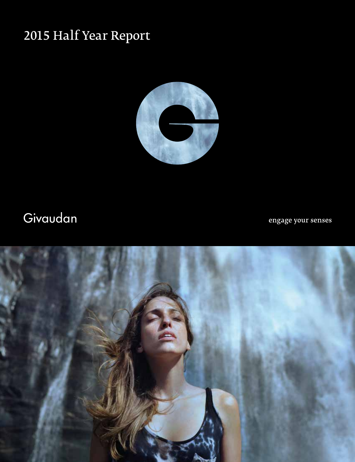# 2015 Half Year Report



# Givaudan

engage your senses

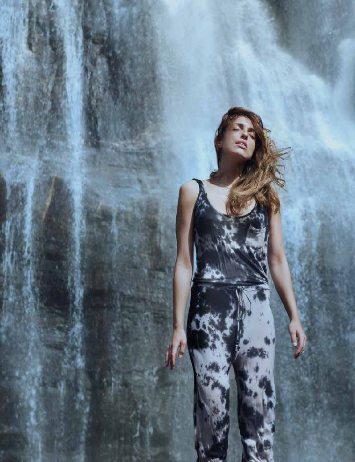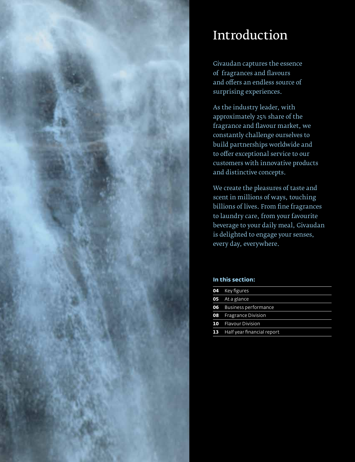

## Introduction

Givaudan captures the essence of fragrances and flavours and offers an endless source of surprising experiences.

As the industry leader, with approximately 25% share of the fragrance and flavour market, we constantly challenge ourselves to build partnerships worldwide and to offer exceptional service to our customers with innovative products and distinctive concepts.

We create the pleasures of taste and scent in millions of ways, touching billions of lives. From fine fragrances to laundry care, from your favourite beverage to your daily meal, Givaudan is delighted to engage your senses, every day, everywhere.

### **In this section:**

|    | <b>04</b> Key figures         |
|----|-------------------------------|
|    | <b>05</b> At a glance         |
| 06 | <b>Business performance</b>   |
|    | <b>08</b> Fragrance Division  |
|    | <b>10</b> Flavour Division    |
|    | 13 Half year financial report |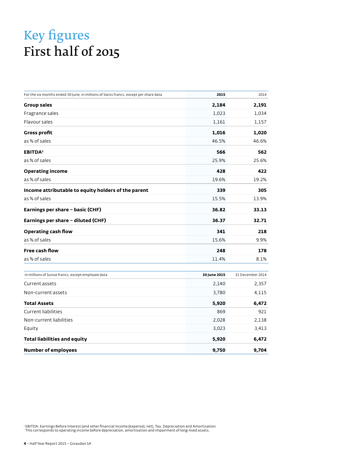## Key figures First half of 2015

| For the six months ended 30 June, in millions of Swiss francs, except per share data<br>Fragrance sales<br>Flavour sales | 2015<br>2,184<br>1,023<br>1,161<br>1,016<br>46.5% | 2014<br>2,191<br>1,034<br>1,157 |
|--------------------------------------------------------------------------------------------------------------------------|---------------------------------------------------|---------------------------------|
| <b>Group sales</b>                                                                                                       |                                                   |                                 |
|                                                                                                                          |                                                   |                                 |
|                                                                                                                          |                                                   |                                 |
|                                                                                                                          |                                                   |                                 |
| <b>Gross profit</b>                                                                                                      |                                                   | 1,020                           |
| as % of sales                                                                                                            |                                                   | 46.6%                           |
| EBITDA <sup>1</sup>                                                                                                      | 566                                               | 562                             |
| as % of sales                                                                                                            | 25.9%                                             | 25.6%                           |
| <b>Operating income</b>                                                                                                  | 428                                               | 422                             |
| as % of sales                                                                                                            | 19.6%                                             | 19.2%                           |
| Income attributable to equity holders of the parent                                                                      | 339                                               | 305                             |
| as % of sales                                                                                                            | 15.5%                                             | 13.9%                           |
| Earnings per share - basic (CHF)                                                                                         | 36.82                                             | 33.13                           |
| Earnings per share - diluted (CHF)                                                                                       | 36.37                                             | 32.71                           |
| Operating cash flow                                                                                                      | 341                                               | 218                             |
| as % of sales                                                                                                            | 15.6%                                             | 9.9%                            |
| <b>Free cash flow</b>                                                                                                    | 248                                               | 178                             |
| as % of sales                                                                                                            | 11.4%                                             | 8.1%                            |
| in millions of Suisse francs, except employee data                                                                       | 30 June 2015                                      | 31 December 2014                |
| Current assets                                                                                                           | 2,140                                             | 2,357                           |
| Non-current assets                                                                                                       | 3,780                                             | 4,115                           |
| <b>Total Assets</b>                                                                                                      | 5,920                                             | 6,472                           |
| <b>Current liabilities</b>                                                                                               | 869                                               | 921                             |
| Non-current liabilities                                                                                                  | 2,028                                             | 2,138                           |
| Equity                                                                                                                   | 3,023                                             | 3,413                           |
| <b>Total liabilities and equity</b>                                                                                      | 5,920                                             | 6,472                           |
| <b>Number of employees</b>                                                                                               | 9,750                                             | 9,704                           |

'EBITDA: Earnings Before Interest (and other financial income (expense), net), Tax, Depreciation and Amortisation.<br>This corresponds to operating income before depreciation, amortisation and impairment of long-lived assets.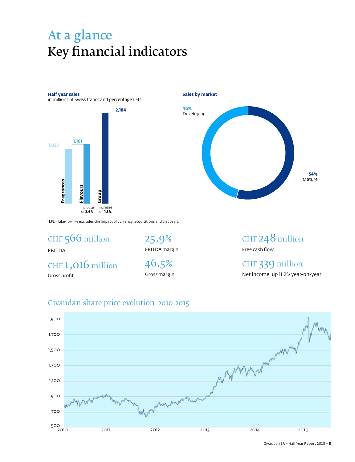## At a glance Key financial indicators



**Half year sales**



<sup>1</sup> LFL = Like-for-like excludes the impact of currency, acquisitions and disposals.

CHF 566 million

EBITDA

CHF 1,016 million

Gross profit

25.9% EBITDA margin

46.5% Gross margin

## CHF 248 million

Free cash flow

### CHF 339 million

Net income, up 11.2% year-on-year

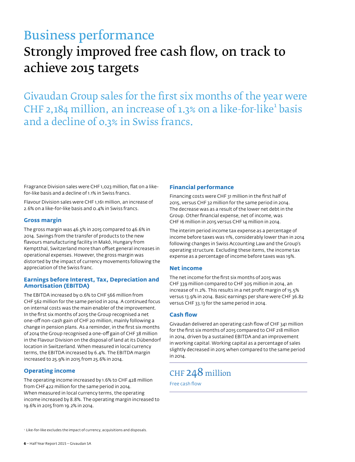## Business performance Strongly improved free cash flow, on track to achieve 2015 targets

Givaudan Group sales for the first six months of the year were CHF 2,184 million, an increase of 1.3% on a like-for-like<sup>1</sup> basis and a decline of 0.3% in Swiss francs.

Fragrance Division sales were CHF 1,023 million, flat on a likefor-like basis and a decline of 1.1% in Swiss francs.

Flavour Division sales were CHF 1,161 million, an increase of 2.6% on a like-for-like basis and 0.4% in Swiss francs.

### **Gross margin**

The gross margin was 46.5% in 2015 compared to 46.6% in 2014. Savings from the transfer of products to the new flavours manufacturing facility in Makó, Hungary from Kemptthal, Switzerland more than offset general increases in operational expenses. However, the gross margin was distorted by the impact of currency movements following the appreciation of the Swiss franc.

### **Earnings before Interest, Tax, Depreciation and Amortisation (EBITDA)**

The EBITDA increased by 0.6% to CHF 566 million from CHF 562 million for the same period in 2014. A continued focus on internal costs was the main enabler of the improvement. In the first six months of 2015 the Group recognised a net one-off non-cash gain of CHF 20 million, mainly following a change in pension plans. As a reminder, in the first six months of 2014 the Group recognised a one-off gain of CHF 38 million in the Flavour Division on the disposal of land at its Dübendorf location in Switzerland. When measured in local currency terms, the EBITDA increased by 6.4%. The EBITDA margin increased to 25.9% in 2015 from 25.6% in 2014.

### **Operating income**

The operating income increased by 1.6% to CHF 428 million from CHF 422 million for the same period in 2014. When measured in local currency terms, the operating income increased by 8.8%. The operating margin increased to 19.6% in 2015 from 19.2% in 2014.

### **Financial performance**

Financing costs were CHF 31 million in the first half of 2015, versus CHF 32 million for the same period in 2014. The decrease was as a result of the lower net debt in the Group. Other financial expense, net of income, was CHF 16 million in 2015 versus CHF 14 million in 2014.

The interim period income tax expense as a percentage of income before taxes was 11%, considerably lower than in 2014 following changes in Swiss Accounting Law and the Group's operating structure. Excluding these items, the income tax expense as a percentage of income before taxes was 19%.

### **Net income**

The net income for the first six months of 2015 was CHF 339 million compared to CHF 305 million in 2014, an increase of 11.2%. This results in a net profit margin of 15.5% versus 13.9% in 2014. Basic earnings per share were CHF 36.82 versus CHF 33.13 for the same period in 2014.

### **Cash flow**

Givaudan delivered an operating cash flow of CHF 341 million for the first six months of 2015 compared to CHF 218 million in 2014, driven by a sustained EBITDA and an improvement in working capital. Working capital as a percentage of sales slightly decreased in 2015 when compared to the same period in 2014.

## CHF 248 million

Free cash flow

<sup>1</sup> Like-for-like excludes the impact of currency, acquisitions and disposals.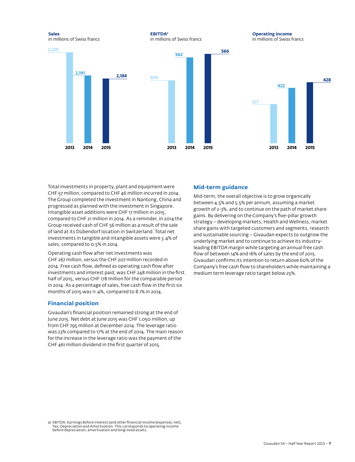

Total investments in property, plant and equipment were CHF 57 million, compared to CHF 46 million incurred in 2014. The Group completed the investment in Nantong, China and progressed as planned with the investment in Singapore. Intangible asset additions were CHF 17 million in 2015, compared to CHF 21 million in 2014. As a reminder, in 2014 the Group received cash of CHF 56 million as a result of the sale of land at its Dübendorf location in Switzerland. Total net investments in tangible and intangible assets were 3.4% of sales, compared to 0.5% in 2014.

Operating cash flow after net investments was CHF 267 million, versus the CHF 207 million recorded in 2014. Free cash flow, defined as operating cash flow after investments and interest paid, was CHF 248 million in the first half of 2015, versus CHF 178 million for the comparable period in 2014. As a percentage of sales, free cash flow in the first six months of 2015 was 11.4%, compared to 8.1% in 2014.

### **Financial position**

Givaudan's financial position remained strong at the end of June 2015. Net debt at June 2015 was CHF 1,050 million, up from CHF 795 million at December 2014. The leverage ratio was 23% compared to 17% at the end of 2014. The main reason for the increase in the leverage ratio was the payment of the CHF 461 million dividend in the first quarter of 2015.

### **Mid-term guidance**

Mid-term, the overall objective is to grow organically between 4.5% and 5.5% per annum, assuming a market growth of 2-3%, and to continue on the path of market share gains. By delivering on the Company's five-pillar growth strategy – developing markets, Health and Wellness, market share gains with targeted customers and segments, research and sustainable sourcing – Givaudan expects to outgrow the underlying market and to continue to achieve its industryleading EBITDA margin while targeting an annual free cash flow of between 14% and 16% of sales by the end of 2015. Givaudan confirms its intention to return above 60% of the Company's free cash flow to shareholders while maintaining a medium term leverage ratio target below 25%.

a) EBITDA: Earnings Before Interest (and other financial income (expense), net), Tax, Depreciation and Amortisation. This corresponds to operating income before depreciation, amortisation and long-lived assets.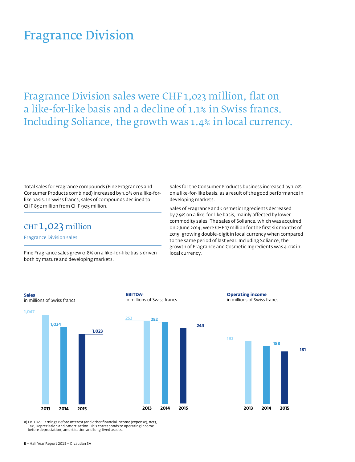## Fragrance Division

Fragrance Division sales were CHF 1,023 million, flat on a like-for-like basis and a decline of 1.1% in Swiss francs. Including Soliance, the growth was 1.4% in local currency.

Total sales for Fragrance compounds (Fine Fragrances and Consumer Products combined) increased by 1.0% on a like-forlike basis. In Swiss francs, sales of compounds declined to CHF 892 million from CHF 905 million.

### CHF 1, 023 million

#### Fragrance Division sales

Fine Fragrance sales grew 0.8% on a like-for-like basis driven both by mature and developing markets.

Sales for the Consumer Products business increased by 1.0% on a like-for-like basis, as a result of the good performance in developing markets.

Sales of Fragrance and Cosmetic Ingredients decreased by 7.9% on a like-for-like basis, mainly affected by lower commodity sales. The sales of Soliance, which was acquired on 2 June 2014, were CHF 17 million for the first six months of 2015, growing double-digit in local currency when compared to the same period of last year. Including Soliance, the growth of Fragrance and Cosmetic Ingredients was 4.0% in local currency.

**188**

**181** 



a) EBITDA: Earnings Before Interest (and other financial income (expense), net),<br>Tax, Depreciation and Amortisation. This corresponds to operating income<br>before depreciation, amortisation and long-lived assets.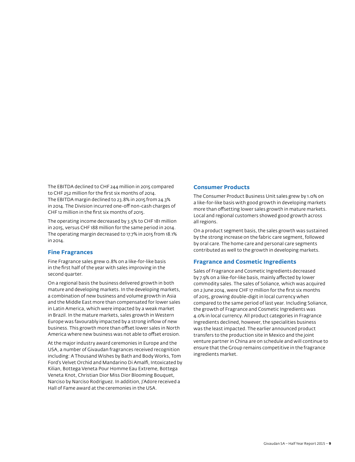The EBITDA declined to CHF 244 million in 2015 compared to CHF 252 million for the first six months of 2014. The EBITDA margin declined to 23.8% in 2015 from 24.3% in 2014. The Division incurred one-off non-cash charges of CHF 12 million in the first six months of 2015.

The operating income decreased by 3.5% to CHF 181 million in 2015, versus CHF 188 million for the same period in 2014. The operating margin decreased to 17.7% in 2015 from 18.1% in 2014.

#### **Fine Fragrances**

Fine Fragrance sales grew 0.8% on a like-for-like basis in the first half of the year with sales improving in the second quarter.

On a regional basis the business delivered growth in both mature and developing markets. In the developing markets, a combination of new business and volume growth in Asia and the Middle East more than compensated for lower sales in Latin America, which were impacted by a weak market in Brazil. In the mature markets, sales growth in Western Europe was favourably impacted by a strong inflow of new business. This growth more than offset lower sales in North America where new business was not able to offset erosion.

At the major industry award ceremonies in Europe and the USA, a number of Givaudan fragrances received recognition including: A Thousand Wishes by Bath and Body Works, Tom Ford's Velvet Orchid and Mandarino Di Amalfi, Intoxicated by Kilian, Bottega Veneta Pour Homme Eau Extreme, Bottega Veneta Knot, Christian Dior Miss Dior Blooming Bouquet, Narciso by Narciso Rodriguez. In addition, J'Adore received a Hall of Fame award at the ceremonies in the USA.

### **Consumer Products**

The Consumer Product Business Unit sales grew by 1.0% on a like-for-like basis with good growth in developing markets more than offsetting lower sales growth in mature markets. Local and regional customers showed good growth across all regions.

On a product segment basis, the sales growth was sustained by the strong increase on the fabric care segment, followed by oral care. The home care and personal care segments contributed as well to the growth in developing markets.

#### **Fragrance and Cosmetic Ingredients**

Sales of Fragrance and Cosmetic Ingredients decreased by 7.9% on a like-for-like basis, mainly affected by lower commodity sales. The sales of Soliance, which was acquired on 2 June 2014, were CHF 17 million for the first six months of 2015, growing double-digit in local currency when compared to the same period of last year. Including Soliance, the growth of Fragrance and Cosmetic Ingredients was 4.0% in local currency. All product categories in Fragrance Ingredients declined, however, the specialities business was the least impacted. The earlier announced product transfers to the production site in Mexico and the joint venture partner in China are on schedule and will continue to ensure that the Group remains competitive in the fragrance ingredients market.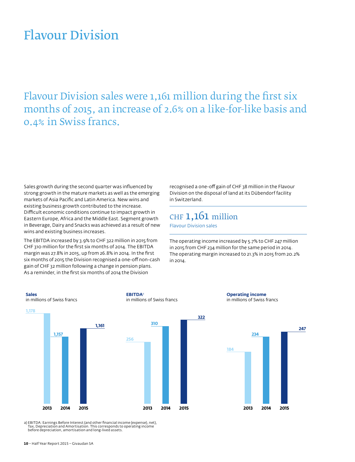## Flavour Division

Flavour Division sales were 1,161 million during the first six months of 2015, an increase of 2.6% on a like-for-like basis and 0.4% in Swiss francs.

Sales growth during the second quarter was influenced by strong growth in the mature markets as well as the emerging markets of Asia Pacific and Latin America. New wins and existing business growth contributed to the increase. Difficult economic conditions continue to impact growth in Eastern Europe, Africa and the Middle East. Segment growth in Beverage, Dairy and Snacks was achieved as a result of new wins and existing business increases.

The EBITDA increased by 3.9% to CHF 322 million in 2015 from CHF 310 million for the first six months of 2014. The EBITDA margin was 27.8% in 2015, up from 26.8% in 2014. In the first six months of 2015 the Division recognised a one-off non-cash gain of CHF 32 million following a change in pension plans. As a reminder, in the first six months of 2014 the Division

recognised a one-off gain of CHF 38 million in the Flavour Division on the disposal of land at its Dübendorf facility in Switzerland.

### CHF  $1,161$  million Flavour Division sales

The operating income increased by 5.7% to CHF 247 million in 2015 from CHF 234 million for the same period in 2014. The operating margin increased to 21.3% in 2015 from 20.2% in 2014.



**Operating income** in millions of Swiss francs



a) EBITDA: Earnings Before Interest (and other financial income (expense), net), Tax, Depreciation and Amortisation. This corresponds to operating income before depreciation, amortisation and long-lived assets.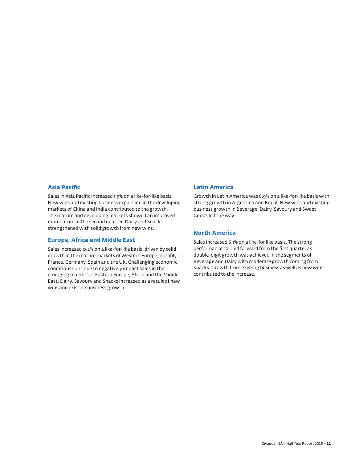### **Asia Pacific**

Sales in Asia Pacific increased 1.5% on a like-for-like basis. New wins and existing business expansion in the developing markets of China and India contributed to the growth. The mature and developing markets showed an improved momentum in the second quarter. Dairy and Snacks strengthened with solid growth from new wins.

#### **Europe, Africa and Middle East**

Sales increased 0.2% on a like-for-like basis, driven by solid growth in the mature markets of Western Europe, notably France, Germany, Spain and the UK. Challenging economic conditions continue to negatively impact sales in the emerging markets of Eastern Europe, Africa and the Middle East. Dairy, Savoury and Snacks increased as a result of new wins and existing business growth.

### **Latin America**

Growth in Latin America was 6.9% on a like-for-like basis with strong growth in Argentina and Brazil. New wins and existing business growth in Beverage, Dairy, Savoury and Sweet Goods led the way.

### **North America**

Sales increased 6.1% on a like-for like basis. The strong performance carried forward from the first quarter as double-digit growth was achieved in the segments of Beverage and Dairy with moderate growth coming from Snacks. Growth from existing business as well as new wins contributed to the increase.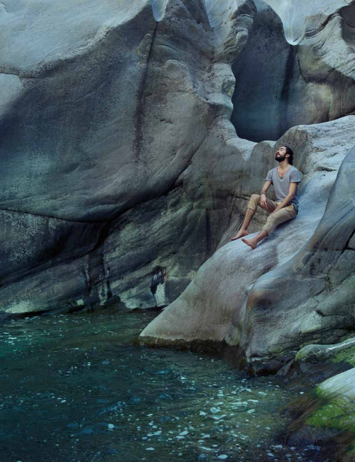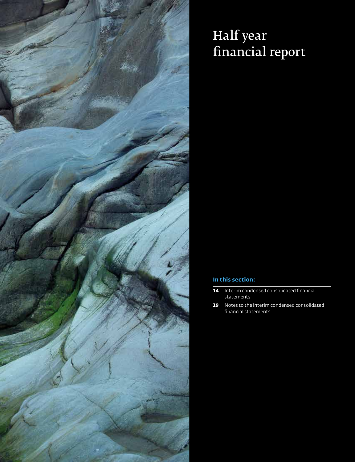

## Half year financial report

### **In this section:**

- **14** Interim condensed consolidated financial statements
- **19** Notes to the interim condensed consolidated financial statements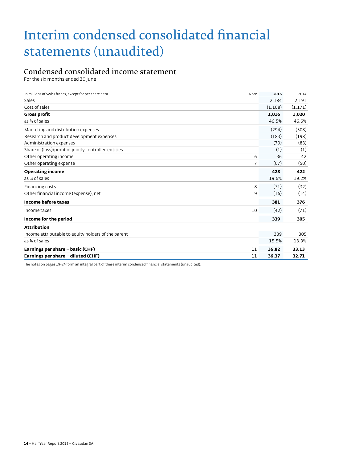## Interim condensed consolidated financial statements (unaudited)

## Condensed consolidated income statement

For the six months ended 30 June

| in millions of Swiss francs, except for per share data | Note | 2015    | 2014     |
|--------------------------------------------------------|------|---------|----------|
| Sales                                                  |      | 2,184   | 2,191    |
| Cost of sales                                          |      | (1,168) | (1, 171) |
| <b>Gross profit</b>                                    |      | 1.016   | 1,020    |
| as % of sales                                          |      | 46.5%   | 46.6%    |
| Marketing and distribution expenses                    |      | (294)   | (308)    |
| Research and product development expenses              |      | (183)   | (198)    |
| Administration expenses                                |      | (79)    | (83)     |
| Share of (loss)/profit of jointly controlled entities  |      | (1)     | (1)      |
| Other operating income                                 | 6    | 36      | 42       |
| Other operating expense                                | 7    | (67)    | (50)     |
| <b>Operating income</b>                                |      | 428     | 422      |
| as % of sales                                          |      | 19.6%   | 19.2%    |
| Financing costs                                        | 8    | (31)    | (32)     |
| Other financial income (expense), net                  | 9    | (16)    | (14)     |
| Income before taxes                                    |      | 381     | 376      |
| Income taxes                                           | 10   | (42)    | (71)     |
| Income for the period                                  |      | 339     | 305      |
| <b>Attribution</b>                                     |      |         |          |
| Income attributable to equity holders of the parent    |      | 339     | 305      |
| as % of sales                                          |      | 15.5%   | 13.9%    |
| Earnings per share - basic (CHF)                       | 11   | 36.82   | 33.13    |
| Earnings per share - diluted (CHF)                     | 11   | 36.37   | 32.71    |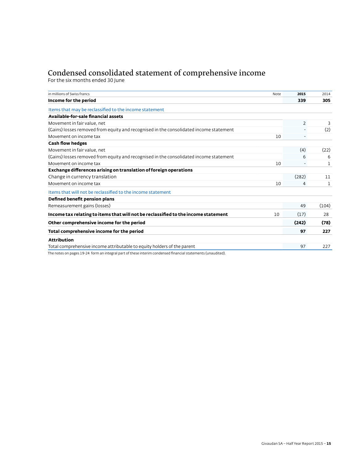## Condensed consolidated statement of comprehensive income

For the six months ended 30 June

| in millions of Swiss francs                                                            | Note | 2015                         | 2014  |
|----------------------------------------------------------------------------------------|------|------------------------------|-------|
| Income for the period                                                                  |      | 339                          | 305   |
| Items that may be reclassified to the income statement                                 |      |                              |       |
| <b>Available-for-sale financial assets</b>                                             |      |                              |       |
| Movement in fair value, net                                                            |      | $\overline{2}$               | 3     |
| (Gains) losses removed from equity and recognised in the consolidated income statement |      |                              | (2)   |
| Movement on income tax                                                                 | 10   | $\qquad \qquad \blacksquare$ |       |
| <b>Cash flow hedges</b>                                                                |      |                              |       |
| Movement in fair value, net                                                            |      | (4)                          | (22)  |
| (Gains) losses removed from equity and recognised in the consolidated income statement |      | 6                            | 6     |
| Movement on income tax                                                                 | 10   |                              | 1     |
| Exchange differences arising on translation of foreign operations                      |      |                              |       |
| Change in currency translation                                                         |      | (282)                        | 11    |
| Movement on income tax                                                                 | 10   | 4                            | 1     |
| Items that will not be reclassified to the income statement                            |      |                              |       |
| Defined benefit pension plans                                                          |      |                              |       |
| Remeasurement gains (losses)                                                           |      | 49                           | (104) |
| Income tax relating to items that will not be reclassified to the income statement     | 10   | (17)                         | 28    |
| Other comprehensive income for the period                                              |      | (242)                        | (78)  |
| Total comprehensive income for the period                                              |      | 97                           | 227   |
| <b>Attribution</b>                                                                     |      |                              |       |
| Total comprehensive income attributable to equity holders of the parent                |      | 97                           | 227   |
|                                                                                        |      |                              |       |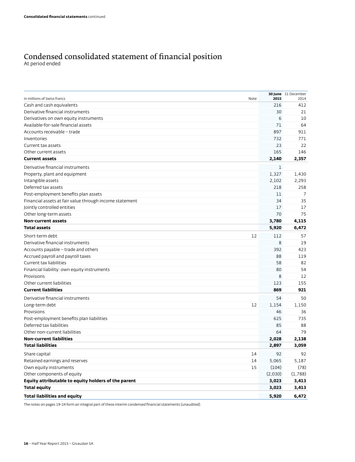### Condensed consolidated statement of financial position At period ended

| in millions of Swiss francs<br>Note                     | 2015    | 30 June 31 December<br>2014 |
|---------------------------------------------------------|---------|-----------------------------|
| Cash and cash equivalents                               | 216     | 412                         |
| Derivative financial instruments                        | 30      | 21                          |
| Derivatives on own equity instruments                   | 6       | 10                          |
| Available-for-sale financial assets                     | 71      | 64                          |
| Accounts receivable – trade                             | 897     | 911                         |
| Inventories                                             | 732     | 771                         |
| Current tax assets                                      | 23      | 22                          |
| Other current assets                                    | 165     | 146                         |
| <b>Current assets</b>                                   | 2,140   | 2,357                       |
| Derivative financial instruments                        | 1       |                             |
| Property, plant and equipment                           | 1,327   | 1,430                       |
| Intangible assets                                       | 2,102   | 2,293                       |
| Deferred tax assets                                     | 218     | 258                         |
| Post-employment benefits plan assets                    | 11      | 7                           |
| Financial assets at fair value through income statement | 34      | 35                          |
| Jointly controlled entities                             | 17      | 17                          |
| Other long-term assets                                  | 70      | 75                          |
| <b>Non-current assets</b>                               | 3,780   | 4,115                       |
| <b>Total assets</b>                                     | 5,920   | 6,472                       |
| Short-term debt<br>12                                   | 112     | 57                          |
| Derivative financial instruments                        | 8       | 19                          |
| Accounts payable - trade and others                     | 392     | 423                         |
| Accrued payroll and payroll taxes                       | 88      | 119                         |
| Current tax liabilities                                 | 58      | 82                          |
| Financial liability: own equity instruments             | 80      | 54                          |
| Provisions                                              | 8       | 12                          |
| Other current liabilities                               | 123     | 155                         |
| <b>Current liabilities</b>                              | 869     | 921                         |
| Derivative financial instruments                        | 54      | 50                          |
| 12<br>Long-term debt                                    | 1,154   | 1,150                       |
| Provisions                                              | 46      | 36                          |
| Post-employment benefits plan liabilities               | 625     | 735                         |
| Deferred tax liabilities                                | 85      | 88                          |
| Other non-current liabilities                           | 64      | 79                          |
| Non-current liabilities                                 | 2,028   | 2,138                       |
| <b>Total liabilities</b>                                | 2,897   | 3,059                       |
| 14<br>Share capital                                     | 92      | 92                          |
| Retained earnings and reserves<br>14                    | 5,065   | 5,187                       |
| Own equity instruments<br>15                            | (104)   | (78)                        |
| Other components of equity                              | (2,030) | (1,788)                     |
| Equity attributable to equity holders of the parent     | 3,023   | 3,413                       |
| <b>Total equity</b>                                     | 3,023   | 3,413                       |
| <b>Total liabilities and equity</b>                     | 5,920   | 6,472                       |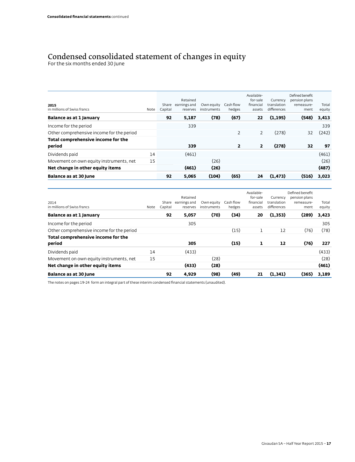### Condensed consolidated statement of changes in equity

For the six months ended 30 June

|                                           |      |         |              |             |                         | Available-     |             | Defined benefit |        |
|-------------------------------------------|------|---------|--------------|-------------|-------------------------|----------------|-------------|-----------------|--------|
|                                           |      |         | Retained     |             |                         | for-sale       | Currency    | pension plans   |        |
| 2015                                      |      | Share   | earnings and | Own equity  | Cash flow               | financial      | translation | remeasure-      | Total  |
| in millions of Swiss francs               | Note | Capital | reserves     | instruments | hedges                  | assets         | differences | ment            | equity |
| Balance as at 1 January                   |      | 92      | 5,187        | (78)        | (67)                    | 22             | (1, 195)    | (548)           | 3,413  |
| Income for the period                     |      |         | 339          |             |                         |                |             |                 | 339    |
| Other comprehensive income for the period |      |         |              |             | 2                       | 2              | (278)       | 32              | (242)  |
| Total comprehensive income for the        |      |         |              |             |                         |                |             |                 |        |
| period                                    |      |         | 339          |             | $\overline{\mathbf{z}}$ | $\overline{2}$ | (278)       | 32              | 97     |
| Dividends paid                            | 14   |         | (461)        |             |                         |                |             |                 | (461)  |
| Movement on own equity instruments, net   | 15   |         |              | (26)        |                         |                |             |                 | (26)   |
| Net change in other equity items          |      |         | (461)        | (26)        |                         |                |             |                 | (487)  |
| Balance as at 30 June                     |      | 92      | 5,065        | (104)       | (65)                    | 24             | (1, 473)    | (516)           | 3.023  |

| Balance as at 30 June                        |      | 92               | 4,929                                | (98)                      | (49)                | 21                                            | (1,341)                                | (365)                                                  | 3,189           |
|----------------------------------------------|------|------------------|--------------------------------------|---------------------------|---------------------|-----------------------------------------------|----------------------------------------|--------------------------------------------------------|-----------------|
| Net change in other equity items             |      |                  | (433)                                | (28)                      |                     |                                               |                                        |                                                        | (461)           |
| Movement on own equity instruments, net      | 15   |                  |                                      | (28)                      |                     |                                               |                                        |                                                        | (28)            |
| Dividends paid                               | 14   |                  | (433)                                |                           |                     |                                               |                                        |                                                        | (433)           |
| Total comprehensive income for the<br>period |      |                  | 305                                  |                           | (15)                | ı                                             | 12                                     | (76)                                                   | 227             |
| Other comprehensive income for the period    |      |                  |                                      |                           | (15)                | 1                                             | 12                                     | (76)                                                   | (78)            |
| Income for the period                        |      |                  | 305                                  |                           |                     |                                               |                                        |                                                        | 305             |
| Balance as at 1 January                      |      | 92               | 5,057                                | (70)                      | (34)                | 20                                            | (1, 353)                               | (289)                                                  | 3,423           |
| 2014<br>in millions of Swiss francs          | Note | Share<br>Capital | Retained<br>earnings and<br>reserves | Own equity<br>instruments | Cash flow<br>hedges | Available-<br>for-sale<br>financial<br>assets | Currency<br>translation<br>differences | Defined benefit<br>pension plans<br>remeasure-<br>ment | Total<br>equity |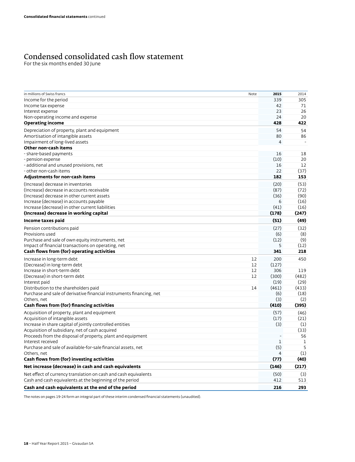### Condensed consolidated cash flow statement

For the six months ended 30 June

| in millions of Swiss francs<br>Note                                  | 2015           | 2014  |
|----------------------------------------------------------------------|----------------|-------|
| Income for the period                                                | 339            | 305   |
| Income tax expense                                                   | 42             | 71    |
| Interest expense                                                     | 23             | 26    |
| Non-operating income and expense                                     | 24             | 20    |
| <b>Operating income</b>                                              | 428            | 422   |
| Depreciation of property, plant and equipment                        | 54             | 54    |
| Amortisation of intangible assets                                    | 80             | 86    |
| Impairment of long-lived assets                                      | $\overline{4}$ |       |
| Other non-cash items                                                 |                |       |
| - share-based payments                                               | 16             | 18    |
| - pension expense                                                    | (10)           | 20    |
| - additional and unused provisions, net                              | 16             | 12    |
| - other non-cash items                                               | 22             | (37)  |
| Adjustments for non-cash items                                       | 182            | 153   |
| (Increase) decrease in inventories                                   | (20)           | (53)  |
| (Increase) decrease in accounts receivable                           | (87)           | (72)  |
| (Increase) decrease in other current assets                          | (36)           | (90)  |
| Increase (decrease) in accounts payable                              | 6              | (16)  |
| Increase (decrease) in other current liabilities                     | (41)           | (16)  |
| (Increase) decrease in working capital                               | (178)          | (247) |
| Income taxes paid                                                    | (51)           | (49)  |
| Pension contributions paid                                           | (27)           | (32)  |
| Provisions used                                                      | (6)            | (8)   |
| Purchase and sale of own equity instruments, net                     | (12)           | (9)   |
| Impact of financial transactions on operating, net                   | 5              | (12)  |
| Cash flows from (for) operating activities                           | 341            | 218   |
| 12<br>Increase in long-term debt                                     | 200            | 450   |
| (Decrease) in long-term debt<br>12                                   | (127)          |       |
| Increase in short-term debt<br>12                                    | 306            | 119   |
| (Decrease) in short-term debt<br>12                                  | (300)          | (482) |
| Interest paid                                                        | (19)           | (29)  |
| Distribution to the shareholders paid<br>14                          | (461)          | (433) |
| Purchase and sale of derivative financial instruments financing, net | (6)            | (18)  |
| Others, net                                                          | (3)            | (2)   |
| Cash flows from (for) financing activities                           | (410)          | (395) |
| Acquisition of property, plant and equipment                         | (57)           | (46)  |
| Acquisition of intangible assets                                     | (17)           | (21)  |
| Increase in share capital of jointly controlled entities             | (3)            | (1)   |
| Acquisition of subsidiary, net of cash acquired                      |                | (33)  |
| Proceeds from the disposal of property, plant and equipment          |                | 56    |
| Interest received                                                    | 1              | 1     |
| Purchase and sale of available-for-sale financial assets, net        | (5)            | 5     |
| Others, net                                                          | 4              | (1)   |
| Cash flows from (for) investing activities                           | (77)           | (40)  |
| Net increase (decrease) in cash and cash equivalents                 | (146)          | (217) |
| Net effect of currency translation on cash and cash equivalents      | (50)           | (3)   |
| Cash and cash equivalents at the beginning of the period             | 412            | 513   |
| Cash and cash equivalents at the end of the period                   | 216            | 293   |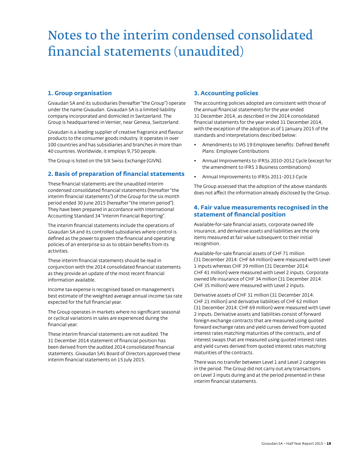## Notes to the interim condensed consolidated financial statements (unaudited)

### **1. Group organisation**

Givaudan SA and its subsidiaries (hereafter ''the Group'') operate under the name Givaudan. Givaudan SA is a limited liability company incorporated and domiciled in Switzerland. The Group is headquartered in Vernier, near Geneva, Switzerland.

Givaudan is a leading supplier of creative fragrance and flavour products to the consumer goods industry. It operates in over 100 countries and has subsidiaries and branches in more than 40 countries. Worldwide, it employs 9,750 people.

The Group is listed on the SIX Swiss Exchange (GIVN).

### **2. Basis of preparation of financial statements**

These financial statements are the unaudited interim condensed consolidated financial statements (hereafter ''the interim financial statements'') of the Group for the six month period ended 30 June 2015 (hereafter "the interim period"). They have been prepared in accordance with International Accounting Standard 34 ''Interim Financial Reporting''.

The interim financial statements include the operations of Givaudan SA and its controlled subsidiaries where control is defined as the power to govern the financial and operating policies of an enterprise so as to obtain benefits from its activities.

These interim financial statements should be read in conjunction with the 2014 consolidated financial statements as they provide an update of the most recent financial information available.

Income tax expense is recognised based on management's best estimate of the weighted average annual income tax rate expected for the full financial year.

The Group operates in markets where no significant seasonal or cyclical variations in sales are experienced during the financial year.

These interim financial statements are not audited. The 31 December 2014 statement of financial position has been derived from the audited 2014 consolidated financial statements. Givaudan SA's Board of Directors approved these interim financial statements on 15 July 2015.

### **3. Accounting policies**

The accounting policies adopted are consistent with those of the annual financial statements for the year ended 31 December 2014, as described in the 2014 consolidated financial statements for the year ended 31 December 2014, with the exception of the adoption as of 1 January 2015 of the standards and interpretations described below:

- Amendments to IAS 19 Employee benefits: Defined Benefit Plans: Employee Contributions
- Annual Improvements to IFRSs 2010-2012 Cycle (except for the amendment to IFRS 3 Business combinations)
- Annual Improvements to IFRSs 2011-2013 Cycle

The Group assessed that the adoption of the above standards does not affect the information already disclosed by the Group.

### **4. Fair value measurements recognised in the statement of financial position**

Available-for-sale financial assets, corporate owned life insurance, and derivative assets and liabilities are the only items measured at fair value subsequent to their initial recognition.

Available-for-sale financial assets of CHF 71 million (31 December 2014: CHF 64 million) were measured with Level 1 inputs whereas CHF 39 million (31 December 2014: CHF 41 million) were measured with Level 2 inputs. Corporate owned life insurance of CHF 34 million (31 December 2014: CHF 35 million) were measured with Level 2 inputs.

Derivative assets of CHF 31 million (31 December 2014: CHF 21 million) and derivative liabilities of CHF 62 million (31 December 2014: CHF 69 million) were measured with Level 2 inputs. Derivative assets and liabilities consist of forward foreign exchange contracts that are measured using quoted forward exchange rates and yield curves derived from quoted interest rates matching maturities of the contracts, and of interest swaps that are measured using quoted interest rates and yield curves derived from quoted interest rates matching maturities of the contracts.

There was no transfer between Level 1 and Level 2 categories in the period. The Group did not carry out any transactions on Level 3 inputs during and at the period presented in these interim financial statements.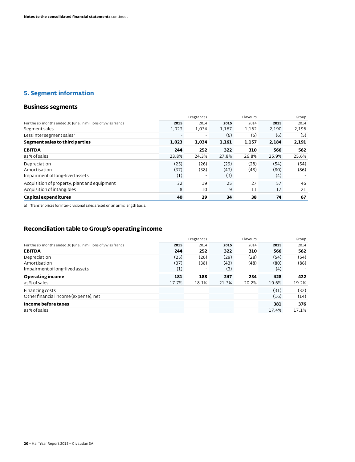### **5. Segment information**

### **Business segments**

|                                                               |       | Fragrances |       | Flavours |       | Group |
|---------------------------------------------------------------|-------|------------|-------|----------|-------|-------|
| For the six months ended 30 June, in millions of Swiss francs | 2015  | 2014       | 2015  | 2014     | 2015  | 2014  |
| Segment sales                                                 | 1,023 | 1,034      | 1,167 | 1,162    | 2,190 | 2,196 |
| Less inter segment sales <sup>a</sup>                         | ۰     |            | (6)   | (5)      | (6)   | (5)   |
| Segment sales to third parties                                | 1,023 | 1,034      | 1,161 | 1,157    | 2,184 | 2,191 |
| <b>EBITDA</b>                                                 | 244   | 252        | 322   | 310      | 566   | 562   |
| as% of sales                                                  | 23.8% | 24.3%      | 27.8% | 26.8%    | 25.9% | 25.6% |
| Depreciation                                                  | (25)  | (26)       | (29)  | (28)     | (54)  | (54)  |
| Amortisation                                                  | (37)  | (38)       | (43)  | (48)     | (80)  | (86)  |
| Impairment of long-lived assets                               | (1)   | ۰          | (3)   |          | (4)   | -     |
| Acquisition of property, plant and equipment                  | 32    | 19         | 25    | 27       | 57    | 46    |
| Acquisition of intangibles                                    | 8     | 10         | 9     | 11       | 17    | 21    |
| <b>Capital expenditures</b>                                   | 40    | 29         | 34    | 38       | 74    | 67    |

a) Transfer prices for inter-divisional sales are set on an arm's length basis.

### **Reconciliation table to Group's operating income**

|                                                               | Fragrances |       |       | Flavours |       | Group |
|---------------------------------------------------------------|------------|-------|-------|----------|-------|-------|
| For the six months ended 30 June, in millions of Swiss francs | 2015       | 2014  | 2015  | 2014     | 2015  | 2014  |
| <b>EBITDA</b>                                                 | 244        | 252   | 322   | 310      | 566   | 562   |
| Depreciation                                                  | (25)       | (26)  | (29)  | (28)     | (54)  | (54)  |
| Amortisation                                                  | (37)       | (38)  | (43)  | (48)     | (80)  | (86)  |
| Impairment of long-lived assets                               | (1)        |       | (3)   |          | (4)   |       |
| <b>Operating income</b>                                       | 181        | 188   | 247   | 234      | 428   | 422   |
| as % of sales                                                 | 17.7%      | 18.1% | 21.3% | 20.2%    | 19.6% | 19.2% |
| Financing costs                                               |            |       |       |          | (31)  | (32)  |
| Other financial income (expense), net                         |            |       |       |          | (16)  | (14)  |
| Income before taxes                                           |            |       |       |          | 381   | 376   |
| as% of sales                                                  |            |       |       |          | 17.4% | 17.1% |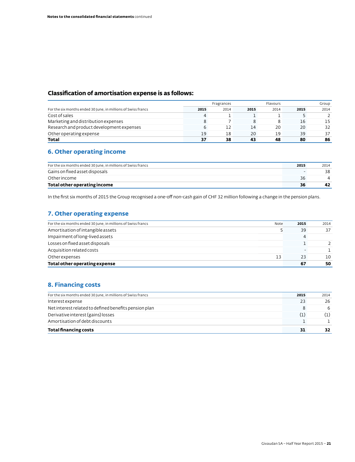### **Classification of amortisation expense is as follows:**

|                                                               |      | Fragrances |      | Flavours |      | Group |
|---------------------------------------------------------------|------|------------|------|----------|------|-------|
| For the six months ended 30 June, in millions of Swiss francs | 2015 | 2014       | 2015 | 2014     | 2015 | 2014  |
| Cost of sales                                                 |      |            |      |          |      |       |
| Marketing and distribution expenses                           |      |            |      |          | 16   | 15    |
| Research and product development expenses                     |      |            | 14   | 20       | 20   | 32    |
| Other operating expense                                       | 19   | 18         | 20   | 19       | 39   | 37    |
| Total                                                         | 37   | 38         | 43   | 48       | 80   | 86    |

### **6. Other operating income**

| Total other operating income                                  | 36   | 42   |
|---------------------------------------------------------------|------|------|
| Other income                                                  |      |      |
| Gains on fixed asset disposals                                |      | 38   |
| For the six months ended 30 June, in millions of Swiss francs | 2015 | 2014 |

In the first six months of 2015 the Group recognised a one-off non-cash gain of CHF 32 million following a change in the pension plans.

### **7. Other operating expense**

| For the six months ended 30 June, in millions of Swiss francs | Note | 2015                     | 2014 |
|---------------------------------------------------------------|------|--------------------------|------|
| Amortisation of intangible assets                             |      | 39                       | 37   |
| Impairment of long-lived assets                               |      | 4                        |      |
| Losses on fixed asset disposals                               |      |                          |      |
| Acquisition related costs                                     |      | $\overline{\phantom{a}}$ |      |
| Other expenses                                                |      | 23                       | 10   |
| Total other operating expense                                 |      | 67                       | 50   |

### **8. Financing costs**

| For the six months ended 30 June, in millions of Swiss francs | 2015 | 2014 |
|---------------------------------------------------------------|------|------|
| Interest expense                                              | 23   | 26   |
| Net interest related to defined benefits pension plan         | 8    | 6    |
| Derivative interest (gains) losses                            |      | (1)  |
| Amortisation of debt discounts                                |      |      |
| <b>Total financing costs</b>                                  |      | 32   |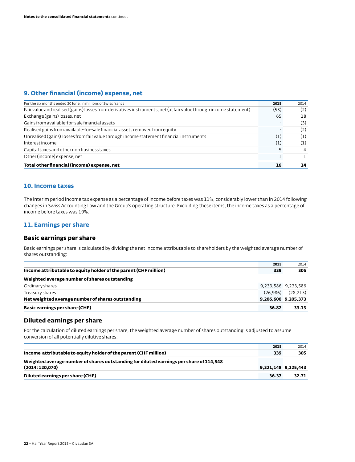### **9. Other financial (income) expense, net**

| For the six months ended 30 June, in millions of Swiss francs                                                     | 2015 | 2014           |
|-------------------------------------------------------------------------------------------------------------------|------|----------------|
| Fair value and realised (gains) losses from derivatives instruments, net (at fair value through income statement) | (53) | (2)            |
| Exchange (gains) losses, net                                                                                      | 65   | 18             |
| Gains from available-for-sale financial assets                                                                    |      | (3)            |
| Realised gains from available-for-sale financial assets removed from equity                                       |      | (2)            |
| Unrealised (gains) losses from fair value through income statement financial instruments                          | (1)  | (1)            |
| Interest income                                                                                                   | (1)  | (1)            |
| Capital taxes and other non business taxes                                                                        |      | $\overline{4}$ |
| Other (income) expense, net                                                                                       |      |                |
| Total other financial (income) expense, net                                                                       | 16   | 14             |

#### **10. Income taxes**

The interim period income tax expense as a percentage of income before taxes was 11%, considerably lower than in 2014 following changes in Swiss Accounting Law and the Group's operating structure. Excluding these items, the income taxes as a percentage of income before taxes was 19%.

### **11. Earnings per share**

### **Basic earnings per share**

Basic earnings per share is calculated by dividing the net income attributable to shareholders by the weighted average number of shares outstanding:

|                                                                  | 2015     | 2014                |
|------------------------------------------------------------------|----------|---------------------|
| Income attributable to equity holder of the parent (CHF million) | 339      | 305                 |
| Weighted average number of shares outstanding                    |          |                     |
| Ordinary shares                                                  |          | 9,233,586 9,233,586 |
| Treasury shares                                                  | (26.986) | (28.213)            |
| Net weighted average number of shares outstanding                |          | 9,206,600 9,205,373 |
| Basic earnings per share (CHF)                                   | 36.82    | 33.13               |

### **Diluted earnings per share**

For the calculation of diluted earnings per share, the weighted average number of shares outstanding is adjusted to assume conversion of all potentially dilutive shares:

|                                                                                         | 2015                | 2014  |
|-----------------------------------------------------------------------------------------|---------------------|-------|
| Income attributable to equity holder of the parent (CHF million)                        | 339                 | 305   |
| Weighted average number of shares outstanding for diluted earnings per share of 114,548 |                     |       |
| (2014:120,070)                                                                          | 9,321,148 9,325,443 |       |
| Diluted earnings per share (CHF)                                                        | 36.37               | 32.71 |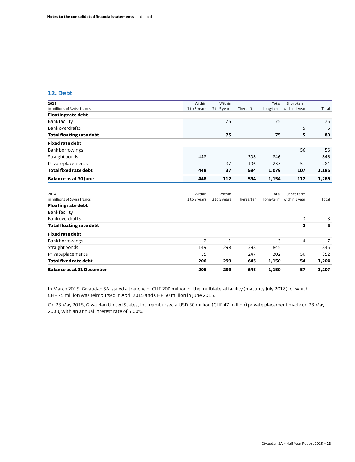### **12. Debt**

| 2015                             | Within         | Within       |            | Total | Short-term              |                |
|----------------------------------|----------------|--------------|------------|-------|-------------------------|----------------|
| in millions of Swiss francs      | 1 to 3 years   | 3 to 5 years | Thereafter |       | long-term within 1 year | Total          |
| Floating rate debt               |                |              |            |       |                         |                |
| <b>Bankfacility</b>              |                | 75           |            | 75    |                         | 75             |
| <b>Bank overdrafts</b>           |                |              |            |       | 5                       | 5              |
| <b>Total floating rate debt</b>  |                | 75           |            | 75    | 5                       | 80             |
| <b>Fixed rate debt</b>           |                |              |            |       |                         |                |
| <b>Bank borrowings</b>           |                |              |            |       | 56                      | 56             |
| Straight bonds                   | 448            |              | 398        | 846   |                         | 846            |
| Private placements               |                | 37           | 196        | 233   | 51                      | 284            |
| <b>Total fixed rate debt</b>     | 448            | 37           | 594        | 1,079 | 107                     | 1,186          |
| Balance as at 30 June            | 448            | 112          | 594        | 1,154 | 112                     | 1,266          |
| 2014                             | Within         | Within       |            | Total | Short-term              |                |
| in millions of Swiss francs      | 1 to 3 years   | 3 to 5 years | Thereafter |       | long-term within 1 year | Total          |
| <b>Floating rate debt</b>        |                |              |            |       |                         |                |
| <b>Bankfacility</b>              |                |              |            |       |                         |                |
| <b>Bank overdrafts</b>           |                |              |            |       | 3                       | 3              |
| <b>Total floating rate debt</b>  |                |              |            |       | 3                       | 3              |
| <b>Fixed rate debt</b>           |                |              |            |       |                         |                |
| <b>Bank borrowings</b>           | $\overline{2}$ | 1            |            | 3     | 4                       | $\overline{7}$ |
| Straight bonds                   | 149            | 298          | 398        | 845   |                         | 845            |
| Private placements               | 55             |              | 247        | 302   | 50                      | 352            |
| <b>Total fixed rate debt</b>     | 206            | 299          | 645        | 1,150 | 54                      | 1,204          |
| <b>Balance as at 31 December</b> | 206            | 299          | 645        | 1,150 | 57                      | 1,207          |

In March 2015, Givaudan SA issued a tranche of CHF 200 million of the multilateral facility (maturity July 2018), of which CHF 75 million was reimbursed in April 2015 and CHF 50 million in June 2015.

On 28 May 2015, Givaudan United States, Inc. reimbursed a USD 50 million (CHF 47 million) private placement made on 28 May 2003, with an annual interest rate of 5.00%.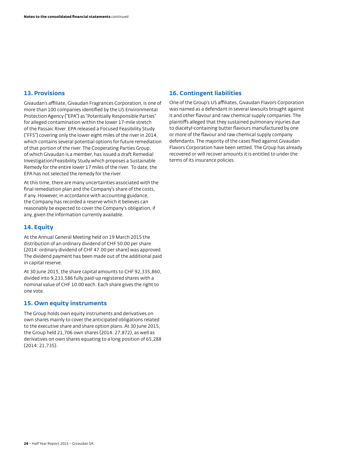### **13. Provisions**

Givaudan's affiliate, Givaudan Fragrances Corporation, is one of more than 100 companies identified by the US Environmental Protection Agency (''EPA'') as ''Potentially Responsible Parties'' for alleged contamination within the lower 17-mile stretch of the Passaic River. EPA released a Focused Feasibility Study (''FFS'') covering only the lower eight miles of the river in 2014, which contains several potential options for future remediation of that portion of the river. The Cooperating Parties Group, of which Givaudan is a member, has issued a draft Remedial Investigation/Feasibility Study which proposes a Sustainable Remedy for the entire lower 17 miles of the river. To date, the EPA has not selected the remedy for the river.

At this time, there are many uncertainties associated with the final remediation plan and the Company's share of the costs, if any. However, in accordance with accounting guidance, the Company has recorded a reserve which it believes can reasonably be expected to cover the Company's obligation, if any, given the information currently available.

### **14. Equity**

At the Annual General Meeting held on 19 March 2015 the distribution of an ordinary dividend of CHF 50.00 per share (2014: ordinary dividend of CHF 47.00 per share) was approved. The dividend payment has been made out of the additional paid in capital reserve.

At 30 June 2015, the share capital amounts to CHF 92,335,860, divided into 9,233,586 fully paid-up registered shares with a nominal value of CHF 10.00 each. Each share gives the right to one vote.

### **15. Own equity instruments**

The Group holds own equity instruments and derivatives on own shares mainly to cover the anticipated obligations related to the executive share and share option plans. At 30 June 2015, the Group held 21,706 own shares (2014: 27,872), as well as derivatives on own shares equating to a long position of 65,288 (2014: 21,735).

### **16. Contingent liabilities**

One of the Group's US affiliates, Givaudan Flavors Corporation was named as a defendant in several lawsuits brought against it and other flavour and raw chemical supply companies. The plaintiffs alleged that they sustained pulmonary injuries due to diacetyl-containing butter flavours manufactured by one or more of the flavour and raw chemical supply company defendants. The majority of the cases filed against Givaudan Flavors Corporation have been settled. The Group has already recovered or will recover amounts it is entitled to under the terms of its insurance policies.